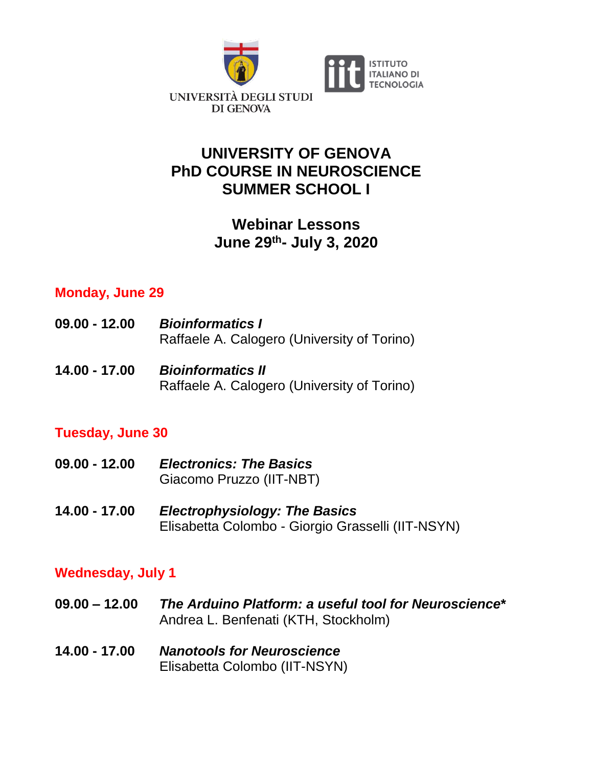

# **UNIVERSITY OF GENOVA PhD COURSE IN NEUROSCIENCE SUMMER SCHOOL I**

# **Webinar Lessons June 29th- July 3, 2020**

Raffaele A. Calogero (University of Torino)

## **Monday, June 29**

| $09.00 - 12.00$ | <b>Bioinformatics I</b><br>Raffaele A. Calogero (University of Torino) |
|-----------------|------------------------------------------------------------------------|
| 14.00 - 17.00   | <b>Bioinformatics II</b>                                               |

### **Tuesday, June 30**

| $09.00 - 12.00$ | <b>Electronics: The Basics</b><br>Giacomo Pruzzo (IIT-NBT)                                |
|-----------------|-------------------------------------------------------------------------------------------|
| 14.00 - 17.00   | <b>Electrophysiology: The Basics</b><br>Elisabetta Colombo - Giorgio Grasselli (IIT-NSYN) |

### **Wednesday, July 1**

| $09.00 - 12.00$ | The Arduino Platform: a useful tool for Neuroscience* |
|-----------------|-------------------------------------------------------|
|                 | Andrea L. Benfenati (KTH, Stockholm)                  |
|                 |                                                       |

**14.00 - 17.00** *Nanotools for Neuroscience* Elisabetta Colombo (IIT-NSYN)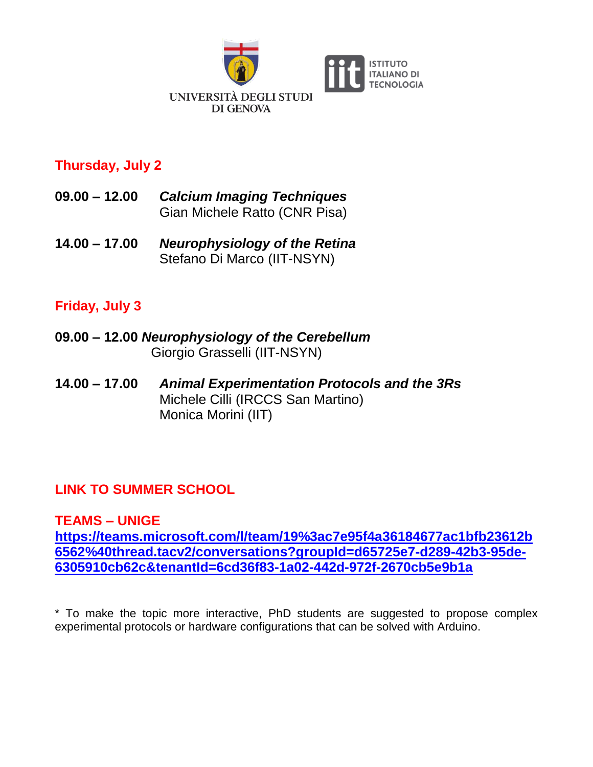

## **Thursday, July 2**

- **09.00 – 12.00** *Calcium Imaging Techniques*  Gian Michele Ratto (CNR Pisa)
- **14.00 – 17.00** *Neurophysiology of the Retina* Stefano Di Marco (IIT-NSYN)

# **Friday, July 3**

- **09.00 – 12.00** *Neurophysiology of the Cerebellum* Giorgio Grasselli (IIT-NSYN)
- **14.00 – 17.00** *Animal Experimentation Protocols and the 3Rs* Michele Cilli (IRCCS San Martino) Monica Morini (IIT)

# **LINK TO SUMMER SCHOOL**

#### **TEAMS – UNIGE**

**[https://teams.microsoft.com/l/team/19%3ac7e95f4a36184677ac1bfb23612b](https://teams.microsoft.com/l/team/19%3ac7e95f4a36184677ac1bfb23612b6562%40thread.tacv2/conversations?groupId=d65725e7-d289-42b3-95de-6305910cb62c&tenantId=6cd36f83-1a02-442d-972f-2670cb5e9b1a) [6562%40thread.tacv2/conversations?groupId=d65725e7-d289-42b3-95de-](https://teams.microsoft.com/l/team/19%3ac7e95f4a36184677ac1bfb23612b6562%40thread.tacv2/conversations?groupId=d65725e7-d289-42b3-95de-6305910cb62c&tenantId=6cd36f83-1a02-442d-972f-2670cb5e9b1a)[6305910cb62c&tenantId=6cd36f83-1a02-442d-972f-2670cb5e9b1a](https://teams.microsoft.com/l/team/19%3ac7e95f4a36184677ac1bfb23612b6562%40thread.tacv2/conversations?groupId=d65725e7-d289-42b3-95de-6305910cb62c&tenantId=6cd36f83-1a02-442d-972f-2670cb5e9b1a)**

\* To make the topic more interactive, PhD students are suggested to propose complex experimental protocols or hardware configurations that can be solved with Arduino.